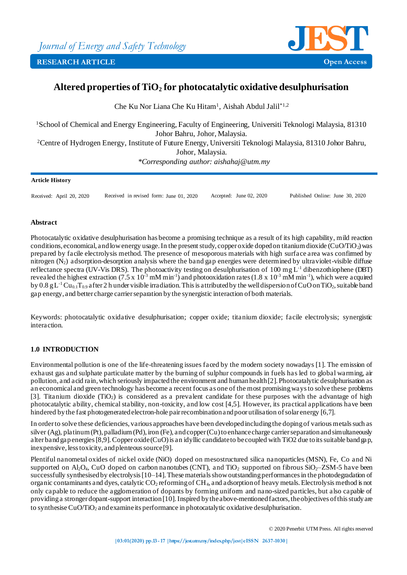

# **Altered properties of TiO<sup>2</sup> for photocatalytic oxidative desulphurisation**

Che Ku Nor Liana Che Ku Hitam<sup>1</sup>, Aishah Abdul Jalil\*<sup>1,2</sup>

<sup>1</sup>School of Chemical and Energy Engineering, Faculty of Engineering, Universiti Teknologi Malaysia, 81310 Johor Bahru, Johor, Malaysia. <sup>2</sup>Centre of Hydrogen Energy, Institute of Future Energy, Universiti Teknologi Malaysia, 81310 Johor Bahru, Johor, Malaysia. *\*Corresponding author: aishahaj@utm.my* 

#### **Article History**

Received: April 20, 2020 Received in revised form: June 01, 2020 Accepted: June 02, 2020 Published Online: June 30, 2020

#### **Abstract**

Photocatalytic oxidative desulphurisation has become a promising technique as a result of its high capability, mild reaction conditions, economical, and low energy usage. In the present study, copper oxide doped on titanium dioxide (CuO/TiO<sub>2</sub>) was prepared by facile electrolysis method. The presence of mesoporous materials with high surface area was confirmed by nitrogen  $(N_2)$  adsorption-desorption analysis where the band gap energies were determined by ultraviolet-visible diffuse reflectance spectra (UV-Vis DRS). The photoactivity testing on desulphurisation of  $100 \text{ mg L}^{-1}$  dibenzothiophene (DBT) revealed the highest extraction (7.5 x  $10^{-3}$  mM min<sup>-1</sup>) and photooxidation rates (1.8 x  $10^{-3}$  mM min<sup>-1</sup>), which were acquired by  $0.8 \text{ g L}^{-1}$ Cu<sub>0.1</sub>T<sub>0.9</sub> after 2 h under visible irradiation. This is attributed by the well dispersion of CuO on TiO<sub>2</sub>, suitable band gap energy, and better charge carrier separation by the synergistic interaction of both materials.

Keywords: photocatalytic oxidative desulphurisation; copper oxide; titanium dioxide; facile electrolysis; synergistic interaction.

# **1.0 INTRODUCTION**

Environmental pollution is one of the life-threatening issues faced by the modern society nowadays [1]. The emission of exhaust gas and sulphate particulate matter by the burning of sulphur compounds in fuels has led to global warming, air pollution, and acid rain, which seriously impacted the environment and human health [2]. Photocatalytic desulphurisation as an economical and green technology has become a recent focus as one of the most promising ways to solve these problems [3]. Titanium dioxide  $(TiO<sub>2</sub>)$  is considered as a prevalent candidate for these purposes with the advantage of high photocatalytic ability, chemical stability, non-toxicity, and low cost [4,5]. However, its practical applications have been hindered by the fast photogenerated electron-hole pair recombination and poor utilisation of solar energy [6,7].

In order to solve these deficiencies, various approaches have been developed including the doping of various metals such as silver (Ag), platinum (Pt), palladium (Pd), iron (Fe), and copper (Cu) to enhance charge carrier separation and simultaneously alter band gap energies [8,9]. Copper oxide (CuO) is an idyllic candidate to be coupled with TiO2 due to its suitable band gap, inexpensive, less toxicity, and plenteous source [9].

Plentiful nanometal oxides of nickel oxide (NiO) doped on mesostructured silica nanoparticles (MSN), Fe, Co and Ni supported on Al<sub>2</sub>O<sub>4</sub>, CuO doped on carbon nanotubes (CNT), and TiO<sub>2</sub> supported on fibrous SiO<sub>2</sub>–ZSM-5 have been successfully synthesised by electrolysis [10–14]. These materials show outstanding performances in the photodegradation of organic contaminants and dyes, catalytic CO<sub>2</sub> reforming of CH<sub>4</sub>, and adsorption of heavy metals. Electrolysis method is not only capable to reduce the agglomeration of dopants by forming uniform and nano-sized particles, but also capable of providing a stronger dopant-support interaction [10]. Inspired by the above-mentioned factors, the objectives of this study are to synthesise CuO/TiO<sup>2</sup> and examine its performance in photocatalytic oxidative desulphurisation.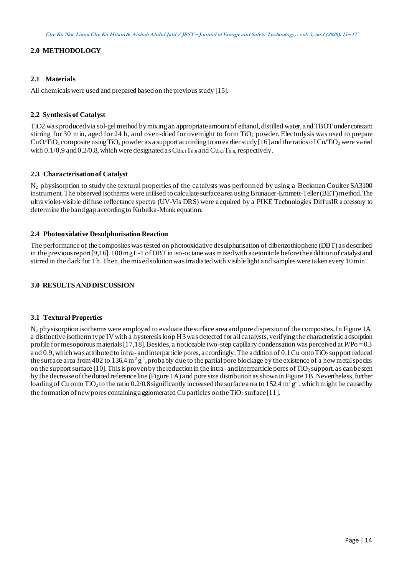# **2.0 METHODOLOGY**

### **2.1 Materials**

All chemicals were used and prepared based on the previous study [15].

#### **2.2 Synthesis of Catalyst**

TiO2 was produced via sol-gel method by mixing an appropriate amount of ethanol, distilled water, and TBOT under constant stirring for 30 min, aged for 24 h, and oven-dried for overnight to form  $TiO<sub>2</sub>$  powder. Electrolysis was used to prepare CuO/TiO<sub>2</sub> composite using TiO<sub>2</sub> powder as a support according to an earlier study [16] and the ratios of Cu/TiO<sub>2</sub> were varied with  $0.1/0.9$  and  $0.2/0.8$ , which were designated as  $Cu<sub>0.1</sub>T<sub>0.9</sub>$  and  $Cu<sub>0.2</sub>T<sub>0.8</sub>$ , respectively.

### **2.3 Characterisation of Catalyst**

 $N_2$  physisorption to study the textural properties of the catalysts was performed by using a Beckman Coulter SA3100 instrument. The observed isotherms were utilised to calculate surface area using Brunauer-Emmett-Teller (BET) method. The ultraviolet-visible diffuse reflectance spectra (UV-Vis DRS) were acquired by a PIKE Technologies DiffusIR accessory to determine the band gap according to Kubelka-Munk equation.

#### **2.4 Photooxidative Desulphurisation Reaction**

The performance of the composites was tested on photooxidative desulphurisation of dibenzothiophene (DBT) as described in the previous report [9,16]. 100 mg L-1 of DBT in iso-octane was mixed with acetonitrile before the addition of catalyst and stirred in the dark for 1 h. Then, the mixed solution was irradiated with visible light and samples were taken every 10 min.

# **3.0 RESULTS AND DISCUSSION**

#### **3.1 Textural Properties**

N<sup>2</sup> physisorption isotherms were employed to evaluate the surface area and pore dispersion of the composites. In Figure 1A, a distinctive isotherm type IV with a hysteresis loop H3was detected for all catalysts, verifying the characteristic adsorption profile for mesoporous materials  $[17,18]$ . Besides, a noticeable two-step capillary condensation was perceived at  $P/Po = 0.3$ and 0.9, which was attributed to intra- and interparticle pores, accordingly. The addition of  $0.1$  Cu onto TiO<sub>2</sub> support reduced the surface area from 402 to 136.4 m<sup>2</sup> g<sup>-1</sup>, probably due to the partial pore blockage by the existence of a new metal species on the support surface  $[10]$ . This is proven by the reduction in the intra- and interparticle pores of TiO<sub>2</sub> support, as can be seen by the decrease of the dotted reference line (Figure 1A) and pore size distribution as shown in Figure 1B. Nevertheless, further loading of Cu onto TiO<sub>2</sub> to the ratio 0.2/0.8 significantly increased the surface area to 152.4 m<sup>2</sup>  $g^{-1}$ , which might be caused by the formation of new pores containing a gglomerated Cu particles on the TiO<sub>2</sub> surface [11].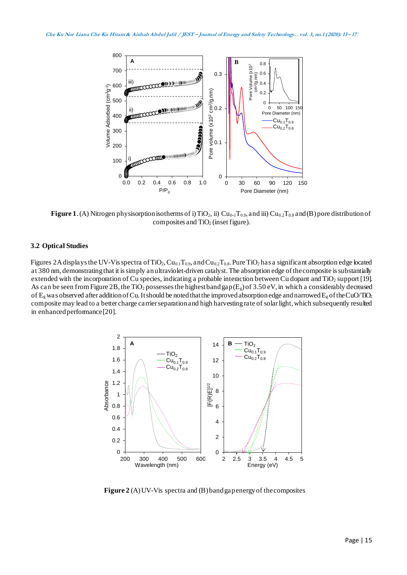

**Figure 1**. (A) Nitrogen physisorption isotherms of i) TiO<sub>2</sub>, ii) Cu<sub>0</sub>.1T<sub>0.9</sub>, and iii) Cu<sub>0.2</sub>T<sub>0.8</sub> and (B) pore distribution of composites and  $TiO<sub>2</sub>$  (inset figure).

#### **3.2 Optical Studies**

Figures 2A displays the UV-Vis spectra of TiO<sub>2</sub>, Cu<sub>0.1</sub>T<sub>0.9</sub>, and Cu<sub>0.2</sub>T<sub>0.8</sub>. Pure TiO<sub>2</sub> has a significant absorption edge located at 380 nm, demonstrating that it is simply an ultraviolet-driven catalyst. The absorption edge of the composite is substantially extended with the incorporation of Cu species, indicating a probable interaction between Cu dopant and TiO<sub>2</sub> support [19]. As can be seen from Figure 2B, the TiO<sub>2</sub> possesses the highest band gap (E<sub>g</sub>) of 3.50 eV, in which a considerably decreased of  $E_g$  was observed after addition of Cu. It should be noted that the improved absorption edge and narrowed  $E_g$  of the CuO/TiO<sub>2</sub> composite may lead to a better charge carrier separation and high harvesting rate of solar light, which subsequently resulted in enhanced performance [20].



**Figure 2** (A) UV-Vis spectra and (B) band gap energy of the composites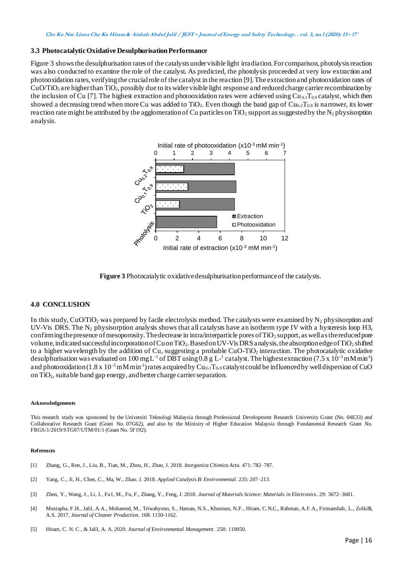#### **3.3 Photocatalytic Oxidative Desulphurisation Performance**

Figure 3 shows the desulphurisation rates of the catalysts under visible light irradiation. For comparison, photolysis reaction was also conducted to examine the role of the catalyst. As predicted, the photolysis proceeded at very low extraction and photooxidation rates, verifying the crucial role of the catalyst in the reaction [9]. The extraction and photooxidation rates of  $CuO/TiO<sub>2</sub>$  are higher than TiO<sub>2</sub>, possibly due to its wider visible light response and reduced charge carrier recombination by the inclusion of Cu [7]. The highest extraction and photooxidation rates were achieved using  $Cu_{0.1}T_{0.9}$  catalyst, which then showed a decreasing trend when more Cu was added to TiO<sub>2</sub>. Even though the band gap of  $Cu_{0.2}T_{0.8}$  is narrower, its lower reaction rate might be attributed by the agglomeration of Cu particles on TiO<sub>2</sub> support as suggested by the N<sub>2</sub> physisorption analysis.



**Figure 3** Photocatalytic oxidative desulphurisation performance of the catalysts.

#### **4.0 CONCLUSION**

In this study, CuO/TiO<sub>2</sub> was prepared by facile electrolysis method. The catalysts were examined by N<sub>2</sub> physisorption and UV-Vis DRS. The  $N_2$  physisorption analysis shows that all catalysts have an isotherm type IV with a hysteresis loop H3, confirming the presence of mesoporosity. The decrease in intra/interparticle pores of TiO<sub>2</sub> support, as well as the reduced pore volume, indicated successful incorporation of Cu on TiO2. Based on UV-Vis DRS analysis, the absorption edge of TiO<sup>2</sup> shifted to a higher wavelength by the addition of Cu, suggesting a probable CuO-TiO<sup>2</sup> interaction. The photocatalytic oxidative desulphurisation was evaluated on 100 mg L<sup>-1</sup> of DBT using 0.8 g L<sup>-1</sup> catalyst. The highest extraction (7.5 x 10<sup>-3</sup> mM min<sup>-1</sup>) and photooxidation (1.8 x 10<sup>-3</sup> mM min<sup>-1</sup>) rates acquired by Cu<sub>0</sub>.1T<sub>0</sub>.9 catalyst could be influenced by well dispersion of CuO on TiO2, suitable band gap energy, and better charge carrier separation.

#### **Acknowledgements**

This research study was sponsored by the Universiti Teknologi Malaysia through Professional Development Research University Grant (No. 04E33) and Collaborative Research Grant (Grant No. 07G62), and also by the Ministry of Higher Education Malaysia through Fundamental Research Grant No. FRGS/1/2019/STG07/UTM/01/1 (Grant No. 5F192).

#### **References**

- [1] Zhang, G., Ren, J., Liu, B., Tian, M., Zhou, H., Zhao, J. 2018. *Inorganica Chimica Acta.* 471: 782–787.
- [2] Yang, C., Ji, H., Chen, C., Ma, W., Zhao. J. 2018. *Applied Catalysis B: Environmental*. 235: 207–213.
- [3] Zhen, Y., Wang, J., Li, J., Fu1, M., Fu, F., Zhang, Y., Feng, J. 2018. *Journal of Materials Science: Materials in Electronics*. 29: 3672–3681.
- [4] Mustapha, F.H., Jalil, A.A., Mohamed, M., Triwahyono, S., Hassan, N.S., Khusnun, N.F., Hitam, C.N.C., Rahman, A.F.A., Firmanshah , L., Zolkifli, A.S. 2017. *Journal of Cleaner Production*. 168: 1150-1162.
-